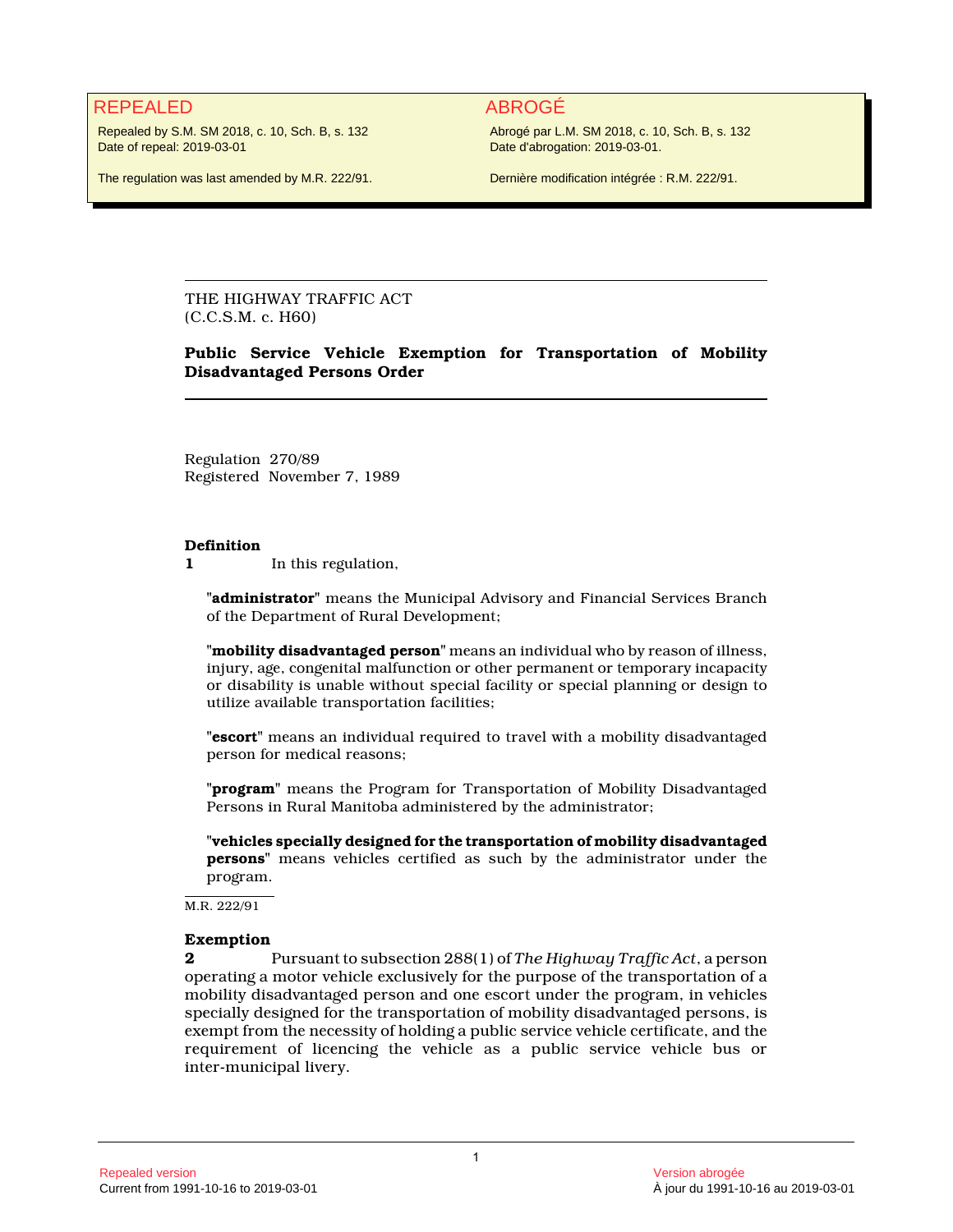# REPEALED ABROGÉ

Repealed by S.M. SM 2018, c. 10, Sch. B, s. 132 Date of repeal: 2019-03-01

The regulation was last amended by M.R. 222/91.

Abrogé par L.M. SM 2018, c. 10, Sch. B, s. 132 Date d'abrogation: 2019-03-01.

Dernière modification intégrée : R.M. 222/91.

THE HIGHWAY TRAFFIC ACT (C.C.S.M. c. H60)

## **Public Service Vehicle Exemption for Transportation of Mobility Disadvantaged Persons Order**

Regulation 270/89 Registered November 7, 1989

#### **Definition**

**1** In this regulation,

**"administrator"** means the Municipal Advisory and Financial Services Branch of the Department of Rural Development;

**"mobility disadvantaged person"** means an individual who by reason of illness, injury, age, congenital malfunction or other permanent or temporary incapacity or disability is unable without special facility or special planning or design to utilize available transportation facilities;

**"escort"** means an individual required to travel with a mobility disadvantaged person for medical reasons;

**"program"** means the Program for Transportation of Mobility Disadvantaged Persons in Rural Manitoba administered by the administrator;

**"vehicles specially designed for the transportation of mobility disadvantaged persons"** means vehicles certified as such by the administrator under the program.

M.R. 222/91

#### **Exemption**

**2** Pursuant to subsection 288(1) of *The Highway Traffic Act*, a person operating a motor vehicle exclusively for the purpose of the transportation of a mobility disadvantaged person and one escort under the program, in vehicles specially designed for the transportation of mobility disadvantaged persons, is exempt from the necessity of holding a public service vehicle certificate, and the requirement of licencing the vehicle as a public service vehicle bus or inter-municipal livery.